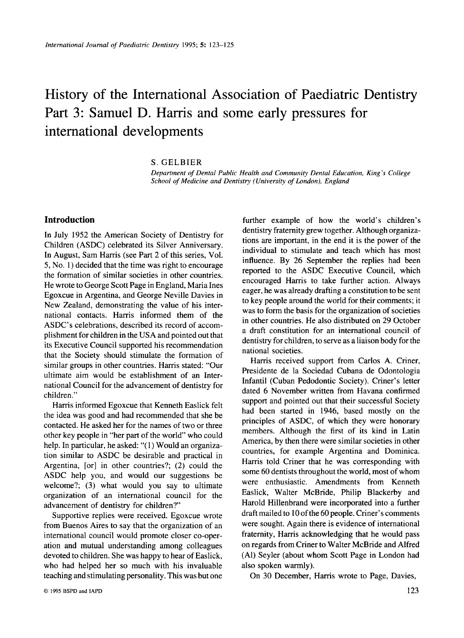## History of the International Association of Paediatric Dentistry Part 3: Samuel D. Harris and some early pressures for international developments

*S.* GELBIER

*Department of Dental Public Health and Community Dental Education, King's College School of Medicine and Dentistry (University of London), England* 

## **Introduction**

In July 1952 the American Society of Dentistry for Children (ASDC) celebrated its Silver Anniversary. In August, Sam Harris (see Part 2 of this series, Vol. 5, No. 1) decided that the time was right to encourage the formation of similar societies in other countries. He wrote to George Scott Page in England, Maria Ines Egoxcue in Argentina, and George Neville Davies in New Zealand, demonstrating the value of his international contacts. Harris informed them of the ASDC's celebrations, described its record of accomplishment for children in the USA and pointed out that its Executive Council supported **his** recommendation that the Society should stimulate the formation of similar groups in other countries. Harris stated: "Our ultimate aim would be establishment of an International Council for the advancement of dentistry for children."

Harris informed Egoxcue that Kenneth Easlick felt the idea was good and had recommended that she be contacted. He asked her for the names of two or three other key people in "her part of the world" who could help. In particular, he asked: "(1) Would an organization similar to ASDC be desirable and practical in Argentina, [or] in other countries?; (2) could the ASDC help you, and would our suggestions be welcome?; **(3)** what would you say to ultimate organization of an international council for the advancement of dentistry for children?'

Supportive replies were received. Egoxcue wrote from Buenos Aires to say that the organization of an international council would promote closer co-operation and mutual understanding among colleagues devoted to children. She was happy to hear of Easlick, who had helped her so much with his invaluable teaching and stimulating personality. This was but one

further example of how the world's children's dentistry fraternity grew together. Although organizations are important, in the end it is the power of the individual to stimulate and teach which has most influence. By 26 September the replies had been reported to the ASDC Executive Council, which encouraged Harris to take further action. Always eager, he was already drafting a constitution to be sent to key people around the world for their comments; it was to form the basis for the organization of societies in other countries. He also distributed on 29 October a draft constitution for an international council of dentistry for children, to serve as a liaison body for the national societies.

Harris received support from Carlos A. Criner, Presidente de la Sociedad Cubana de Odontologia Infantil (Cuban Pedodontic Society). Criner's letter dated 6 November written from Havana confirmed support and pointed out that their successful Society had been started in 1946, based mostly on the principles of ASDC, of which they were honorary members. Although the first of its kind in Latin America, by then there were similar societies in other countries, for example Argentina and Dominica. Harris told Criner that he was corresponding with some 60 dentists throughout the world, most of whom were enthusiastic. Amendments from Kenneth Easlick, Walter McBride, Philip Blackerby and Harold Hillenbrand were incorporated into a further draft mailed to 10 of the 60 people. Criner's comments were sought. Again there is evidence of international fraternity, Harris acknowledging that he would pass on regards from Criner to Walter McBride and Alfred (Al) Seyler (about whom Scott Page in London had also spoken warmly).

On **30** December, Harris wrote to Page, Davies,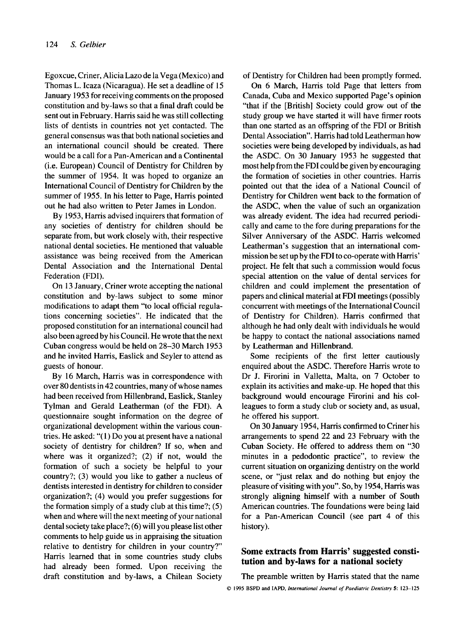Egoxcue, Criner, Alicia Lazo de la Vega (Mexico) and Thomas L. Icaza (Nicaragua). He set a deadline of 15 January 1953 for receiving comments on the proposed constitution and by-laws so that a final draft could be sent out in February. Harris said he was still collecting lists of dentists in countries not yet contacted. The general consensus was that both national societies and an international council should be created. There would be a call for a Pan-American and a Continental (i.e. European) Council of Dentistry for Children by the summer of 1954. It was hoped to organize an International Council of Dentistry for Children by the summer of 1955. In his letter to Page, Harris pointed out he had also written to Peter James in London.

By 1953, Harris advised inquirers that formation of any societies of dentistry for children should be separate from, but work closely with, their respective national dental societies. He mentioned that valuable assistance was being received from the American Dental Association and the International Dental Federation (FDI).

On 13 January, Criner wrote accepting the national constitution and by-laws subject to some minor modifications to adapt them "to local official regulations concerning societies". He indicated that the proposed constitution for an international council had also been agreed by his Council. He wrote that the next Cuban congress would be held on 28-30 March 1953 and he invited Harris, Easlick and Seyler to attend as guests of honour.

By 16 March, Harris was in correspondence with over 80 dentists in 42 countries, many of whose names had been received from Hillenbrand, Easlick, Stanley Tylman and Gerald Leatherman (of the FDI). A questionnaire sought information on the degree of organizational development within the various countries. He asked: "( 1) Do you at present have a national society of dentistry for children? If so, when and where was it organized?; (2) if not, would the formation of such a society be helpful to your country?; (3) would you like to gather a nucleus of dentists interested in dentistry for children to consider organization?; (4) would you prefer suggestions for the formation simply of a study club at this time?; (5) when and where will the next meeting of your national dental society take place?; (6) will you please list other comments to help guide us in appraising the situation relative to dentistry for children in your country?' Harris learned that in some countries study clubs had already been formed. Upon receiving the draft constitution and by-laws, a Chilean Society of Dentistry for Children had been promptly formed.

On 6 March, Harris told Page that letters from Canada, Cuba and Mexico supported Page's opinion "that if the [British] Society could grow out of the study group we have started it will have firmer roots than one started as an offspring of the FDI or British Dental Association". Harris had told Leatherman how societies were being developed by individuals, as had the ASDC. On 30 January 1953 he suggested that most help from the FDI could be given by encouraging the formation of societies in other countries. Harris pointed out that the idea of a National Council of Dentistry for Children went back to the formation of the ASDC, when the value of such an organization was already evident. The idea had recurred periodically and came to the fore during preparations for the Silver Anniversary of the ASDC. Harris welcomed Leatherman's suggestion that an international commission be set up by the FDI to co-operate with Harris' project. He felt that such a commission would focus special attention on the value of dental services for children and could implement the presentation of papers and clinical material at FDI meetings (possibly concurrent with meetings of the International Council of Dentistry for Children). Harris confirmed that although he had only dealt with individuals he would be happy to contact the national associations named by Leatherman and Hillenbrand.

Some recipients of the first letter cautiously enquired about the ASDC. Therefore Harris wrote to Dr J. Firorini in Valletta, Malta, on 7 October to explain its activities and make-up. He hoped that this background would encourage Firorini and his colleagues to form a study club or society and, as usual, he offered his support.

On 30 January 1954, Harris confirmed to Criner his arrangements to spend 22 and 23 February with the Cuban Society. He offered to address them on "30 minutes in a pedodontic practice", to review the current situation on organizing dentistry on the world scene, or "just relax and do nothing but enjoy the pleasure of visiting with you". So, by 1954, Harris was strongly aligning himself with a number of South American countries. The foundations were being laid for a Pan-American Council (see part 4 of this history).

## **Some extracts from Harris' suggested constitution and by-laws for a national society**

*0*  **1995 BSPD and IAPD,** *International Journal of Paediatric Dentistw 5:* **123-125** The preamble written by Harris stated that the name